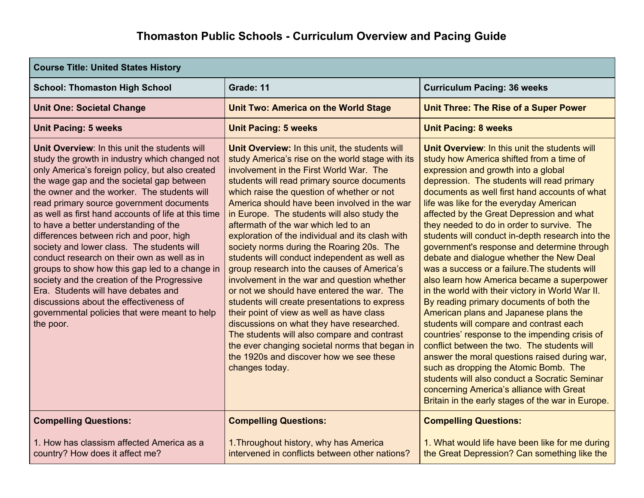| <b>Course Title: United States History</b>                                                                                                                                                                                                                                                                                                                                                                                                                                                                                                                                                                                                                                                                                                                                         |                                                                                                                                                                                                                                                                                                                                                                                                                                                                                                                                                                                                                                                                                                                                                                                                                                                                                                                                                                                         |                                                                                                                                                                                                                                                                                                                                                                                                                                                                                                                                                                                                                                                                                                                                                                                                                                                                                                                                                                                                                                                                                                                                                      |  |  |
|------------------------------------------------------------------------------------------------------------------------------------------------------------------------------------------------------------------------------------------------------------------------------------------------------------------------------------------------------------------------------------------------------------------------------------------------------------------------------------------------------------------------------------------------------------------------------------------------------------------------------------------------------------------------------------------------------------------------------------------------------------------------------------|-----------------------------------------------------------------------------------------------------------------------------------------------------------------------------------------------------------------------------------------------------------------------------------------------------------------------------------------------------------------------------------------------------------------------------------------------------------------------------------------------------------------------------------------------------------------------------------------------------------------------------------------------------------------------------------------------------------------------------------------------------------------------------------------------------------------------------------------------------------------------------------------------------------------------------------------------------------------------------------------|------------------------------------------------------------------------------------------------------------------------------------------------------------------------------------------------------------------------------------------------------------------------------------------------------------------------------------------------------------------------------------------------------------------------------------------------------------------------------------------------------------------------------------------------------------------------------------------------------------------------------------------------------------------------------------------------------------------------------------------------------------------------------------------------------------------------------------------------------------------------------------------------------------------------------------------------------------------------------------------------------------------------------------------------------------------------------------------------------------------------------------------------------|--|--|
| <b>School: Thomaston High School</b>                                                                                                                                                                                                                                                                                                                                                                                                                                                                                                                                                                                                                                                                                                                                               | Grade: 11                                                                                                                                                                                                                                                                                                                                                                                                                                                                                                                                                                                                                                                                                                                                                                                                                                                                                                                                                                               | <b>Curriculum Pacing: 36 weeks</b>                                                                                                                                                                                                                                                                                                                                                                                                                                                                                                                                                                                                                                                                                                                                                                                                                                                                                                                                                                                                                                                                                                                   |  |  |
| <b>Unit One: Societal Change</b>                                                                                                                                                                                                                                                                                                                                                                                                                                                                                                                                                                                                                                                                                                                                                   | <b>Unit Two: America on the World Stage</b>                                                                                                                                                                                                                                                                                                                                                                                                                                                                                                                                                                                                                                                                                                                                                                                                                                                                                                                                             | <b>Unit Three: The Rise of a Super Power</b>                                                                                                                                                                                                                                                                                                                                                                                                                                                                                                                                                                                                                                                                                                                                                                                                                                                                                                                                                                                                                                                                                                         |  |  |
| <b>Unit Pacing: 5 weeks</b>                                                                                                                                                                                                                                                                                                                                                                                                                                                                                                                                                                                                                                                                                                                                                        | <b>Unit Pacing: 5 weeks</b>                                                                                                                                                                                                                                                                                                                                                                                                                                                                                                                                                                                                                                                                                                                                                                                                                                                                                                                                                             | <b>Unit Pacing: 8 weeks</b>                                                                                                                                                                                                                                                                                                                                                                                                                                                                                                                                                                                                                                                                                                                                                                                                                                                                                                                                                                                                                                                                                                                          |  |  |
| Unit Overview: In this unit the students will<br>study the growth in industry which changed not<br>only America's foreign policy, but also created<br>the wage gap and the societal gap between<br>the owner and the worker. The students will<br>read primary source government documents<br>as well as first hand accounts of life at this time<br>to have a better understanding of the<br>differences between rich and poor, high<br>society and lower class. The students will<br>conduct research on their own as well as in<br>groups to show how this gap led to a change in<br>society and the creation of the Progressive<br>Era. Students will have debates and<br>discussions about the effectiveness of<br>governmental policies that were meant to help<br>the poor. | Unit Overview: In this unit, the students will<br>study America's rise on the world stage with its<br>involvement in the First World War. The<br>students will read primary source documents<br>which raise the question of whether or not<br>America should have been involved in the war<br>in Europe. The students will also study the<br>aftermath of the war which led to an<br>exploration of the individual and its clash with<br>society norms during the Roaring 20s. The<br>students will conduct independent as well as<br>group research into the causes of America's<br>involvement in the war and question whether<br>or not we should have entered the war. The<br>students will create presentations to express<br>their point of view as well as have class<br>discussions on what they have researched.<br>The students will also compare and contrast<br>the ever changing societal norms that began in<br>the 1920s and discover how we see these<br>changes today. | Unit Overview: In this unit the students will<br>study how America shifted from a time of<br>expression and growth into a global<br>depression. The students will read primary<br>documents as well first hand accounts of what<br>life was like for the everyday American<br>affected by the Great Depression and what<br>they needed to do in order to survive. The<br>students will conduct in-depth research into the<br>government's response and determine through<br>debate and dialogue whether the New Deal<br>was a success or a failure. The students will<br>also learn how America became a superpower<br>in the world with their victory in World War II.<br>By reading primary documents of both the<br>American plans and Japanese plans the<br>students will compare and contrast each<br>countries' response to the impending crisis of<br>conflict between the two. The students will<br>answer the moral questions raised during war,<br>such as dropping the Atomic Bomb. The<br>students will also conduct a Socratic Seminar<br>concerning America's alliance with Great<br>Britain in the early stages of the war in Europe. |  |  |
| <b>Compelling Questions:</b>                                                                                                                                                                                                                                                                                                                                                                                                                                                                                                                                                                                                                                                                                                                                                       | <b>Compelling Questions:</b>                                                                                                                                                                                                                                                                                                                                                                                                                                                                                                                                                                                                                                                                                                                                                                                                                                                                                                                                                            | <b>Compelling Questions:</b>                                                                                                                                                                                                                                                                                                                                                                                                                                                                                                                                                                                                                                                                                                                                                                                                                                                                                                                                                                                                                                                                                                                         |  |  |
| 1. How has classism affected America as a<br>country? How does it affect me?                                                                                                                                                                                                                                                                                                                                                                                                                                                                                                                                                                                                                                                                                                       | 1. Throughout history, why has America<br>intervened in conflicts between other nations?                                                                                                                                                                                                                                                                                                                                                                                                                                                                                                                                                                                                                                                                                                                                                                                                                                                                                                | 1. What would life have been like for me during<br>the Great Depression? Can something like the                                                                                                                                                                                                                                                                                                                                                                                                                                                                                                                                                                                                                                                                                                                                                                                                                                                                                                                                                                                                                                                      |  |  |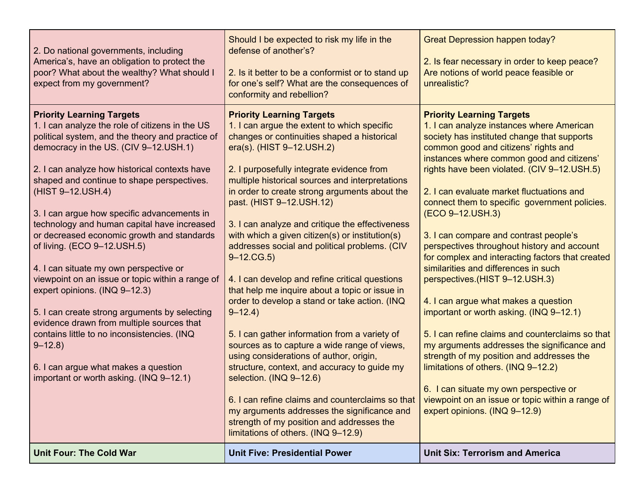| 2. Do national governments, including<br>America's, have an obligation to protect the<br>poor? What about the wealthy? What should I<br>expect from my government?                                                                                                                                                                                                                                                                                                                                                                                                                                                                                                                                                                                                                                                                                           | Should I be expected to risk my life in the<br>defense of another's?<br>2. Is it better to be a conformist or to stand up<br>for one's self? What are the consequences of<br>conformity and rebellion?                                                                                                                                                                                                                                                                                                                                                                                                                                                                                                                                                                                                                                                                                                                                                                                                                                                                                              | <b>Great Depression happen today?</b><br>2. Is fear necessary in order to keep peace?<br>Are notions of world peace feasible or<br>unrealistic?                                                                                                                                                                                                                                                                                                                                                                                                                                                                                                                                                                                                                                                                                                                                                                                                                                                                    |
|--------------------------------------------------------------------------------------------------------------------------------------------------------------------------------------------------------------------------------------------------------------------------------------------------------------------------------------------------------------------------------------------------------------------------------------------------------------------------------------------------------------------------------------------------------------------------------------------------------------------------------------------------------------------------------------------------------------------------------------------------------------------------------------------------------------------------------------------------------------|-----------------------------------------------------------------------------------------------------------------------------------------------------------------------------------------------------------------------------------------------------------------------------------------------------------------------------------------------------------------------------------------------------------------------------------------------------------------------------------------------------------------------------------------------------------------------------------------------------------------------------------------------------------------------------------------------------------------------------------------------------------------------------------------------------------------------------------------------------------------------------------------------------------------------------------------------------------------------------------------------------------------------------------------------------------------------------------------------------|--------------------------------------------------------------------------------------------------------------------------------------------------------------------------------------------------------------------------------------------------------------------------------------------------------------------------------------------------------------------------------------------------------------------------------------------------------------------------------------------------------------------------------------------------------------------------------------------------------------------------------------------------------------------------------------------------------------------------------------------------------------------------------------------------------------------------------------------------------------------------------------------------------------------------------------------------------------------------------------------------------------------|
| <b>Priority Learning Targets</b><br>1. I can analyze the role of citizens in the US<br>political system, and the theory and practice of<br>democracy in the US. (CIV 9-12.USH.1)<br>2. I can analyze how historical contexts have<br>shaped and continue to shape perspectives.<br>(HIST 9-12.USH.4)<br>3. I can argue how specific advancements in<br>technology and human capital have increased<br>or decreased economic growth and standards<br>of living. (ECO 9-12.USH.5)<br>4. I can situate my own perspective or<br>viewpoint on an issue or topic within a range of<br>expert opinions. (INQ 9-12.3)<br>5. I can create strong arguments by selecting<br>evidence drawn from multiple sources that<br>contains little to no inconsistencies. (INQ<br>$9 - 12.8$<br>6. I can argue what makes a question<br>important or worth asking. (INQ 9-12.1) | <b>Priority Learning Targets</b><br>1. I can argue the extent to which specific<br>changes or continuities shaped a historical<br>era(s). (HIST 9-12.USH.2)<br>2. I purposefully integrate evidence from<br>multiple historical sources and interpretations<br>in order to create strong arguments about the<br>past. (HIST 9-12.USH.12)<br>3. I can analyze and critique the effectiveness<br>with which a given citizen(s) or institution(s)<br>addresses social and political problems. (CIV<br>$9 - 12$ .CG.5)<br>4. I can develop and refine critical questions<br>that help me inquire about a topic or issue in<br>order to develop a stand or take action. (INQ<br>$9 - 12.4$<br>5. I can gather information from a variety of<br>sources as to capture a wide range of views,<br>using considerations of author, origin,<br>structure, context, and accuracy to guide my<br>selection. (INQ 9-12.6)<br>6. I can refine claims and counterclaims so that<br>my arguments addresses the significance and<br>strength of my position and addresses the<br>limitations of others. (INQ 9-12.9) | <b>Priority Learning Targets</b><br>1. I can analyze instances where American<br>society has instituted change that supports<br>common good and citizens' rights and<br>instances where common good and citizens'<br>rights have been violated. (CIV 9-12.USH.5)<br>2. I can evaluate market fluctuations and<br>connect them to specific government policies.<br>(ECO 9-12.USH.3)<br>3. I can compare and contrast people's<br>perspectives throughout history and account<br>for complex and interacting factors that created<br>similarities and differences in such<br>perspectives.(HIST 9-12.USH.3)<br>4. I can argue what makes a question<br>important or worth asking. (INQ 9-12.1)<br>5. I can refine claims and counterclaims so that<br>my arguments addresses the significance and<br>strength of my position and addresses the<br>limitations of others. (INQ 9-12.2)<br>6. I can situate my own perspective or<br>viewpoint on an issue or topic within a range of<br>expert opinions. (INQ 9-12.9) |
| <b>Unit Four: The Cold War</b>                                                                                                                                                                                                                                                                                                                                                                                                                                                                                                                                                                                                                                                                                                                                                                                                                               | <b>Unit Five: Presidential Power</b>                                                                                                                                                                                                                                                                                                                                                                                                                                                                                                                                                                                                                                                                                                                                                                                                                                                                                                                                                                                                                                                                | <b>Unit Six: Terrorism and America</b>                                                                                                                                                                                                                                                                                                                                                                                                                                                                                                                                                                                                                                                                                                                                                                                                                                                                                                                                                                             |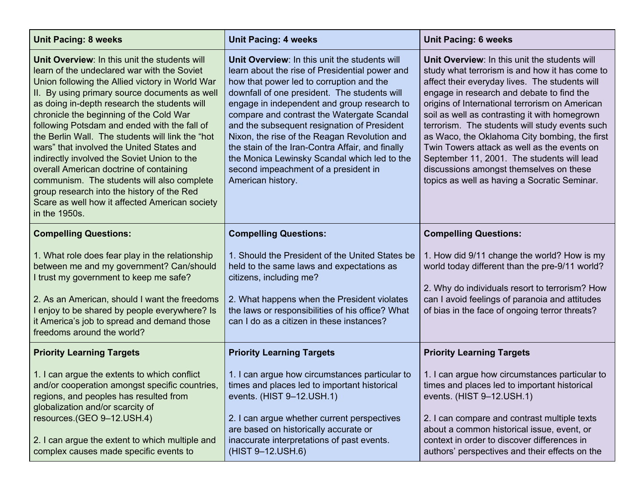| <b>Unit Pacing: 8 weeks</b>                                                                                                                                                                                                                                                                                                                                                                                                                                                                                                                                                                                                                                                                            | <b>Unit Pacing: 4 weeks</b>                                                                                                                                                                                                                                                                                                                                                                                                                                                                                                                              | <b>Unit Pacing: 6 weeks</b>                                                                                                                                                                                                                                                                                                                                                                                                                                                                                                                                                                  |
|--------------------------------------------------------------------------------------------------------------------------------------------------------------------------------------------------------------------------------------------------------------------------------------------------------------------------------------------------------------------------------------------------------------------------------------------------------------------------------------------------------------------------------------------------------------------------------------------------------------------------------------------------------------------------------------------------------|----------------------------------------------------------------------------------------------------------------------------------------------------------------------------------------------------------------------------------------------------------------------------------------------------------------------------------------------------------------------------------------------------------------------------------------------------------------------------------------------------------------------------------------------------------|----------------------------------------------------------------------------------------------------------------------------------------------------------------------------------------------------------------------------------------------------------------------------------------------------------------------------------------------------------------------------------------------------------------------------------------------------------------------------------------------------------------------------------------------------------------------------------------------|
| Unit Overview: In this unit the students will<br>learn of the undeclared war with the Soviet<br>Union following the Allied victory in World War<br>II. By using primary source documents as well<br>as doing in-depth research the students will<br>chronicle the beginning of the Cold War<br>following Potsdam and ended with the fall of<br>the Berlin Wall. The students will link the "hot"<br>wars" that involved the United States and<br>indirectly involved the Soviet Union to the<br>overall American doctrine of containing<br>communism. The students will also complete<br>group research into the history of the Red<br>Scare as well how it affected American society<br>in the 1950s. | Unit Overview: In this unit the students will<br>learn about the rise of Presidential power and<br>how that power led to corruption and the<br>downfall of one president. The students will<br>engage in independent and group research to<br>compare and contrast the Watergate Scandal<br>and the subsequent resignation of President<br>Nixon, the rise of the Reagan Revolution and<br>the stain of the Iran-Contra Affair, and finally<br>the Monica Lewinsky Scandal which led to the<br>second impeachment of a president in<br>American history. | Unit Overview: In this unit the students will<br>study what terrorism is and how it has come to<br>affect their everyday lives. The students will<br>engage in research and debate to find the<br>origins of International terrorism on American<br>soil as well as contrasting it with homegrown<br>terrorism. The students will study events such<br>as Waco, the Oklahoma City bombing, the first<br>Twin Towers attack as well as the events on<br>September 11, 2001. The students will lead<br>discussions amongst themselves on these<br>topics as well as having a Socratic Seminar. |
| <b>Compelling Questions:</b>                                                                                                                                                                                                                                                                                                                                                                                                                                                                                                                                                                                                                                                                           | <b>Compelling Questions:</b>                                                                                                                                                                                                                                                                                                                                                                                                                                                                                                                             | <b>Compelling Questions:</b>                                                                                                                                                                                                                                                                                                                                                                                                                                                                                                                                                                 |
| 1. What role does fear play in the relationship<br>between me and my government? Can/should<br>I trust my government to keep me safe?<br>2. As an American, should I want the freedoms<br>I enjoy to be shared by people everywhere? Is<br>it America's job to spread and demand those<br>freedoms around the world?                                                                                                                                                                                                                                                                                                                                                                                   | 1. Should the President of the United States be<br>held to the same laws and expectations as<br>citizens, including me?<br>2. What happens when the President violates<br>the laws or responsibilities of his office? What<br>can I do as a citizen in these instances?                                                                                                                                                                                                                                                                                  | 1. How did 9/11 change the world? How is my<br>world today different than the pre-9/11 world?<br>2. Why do individuals resort to terrorism? How<br>can I avoid feelings of paranoia and attitudes<br>of bias in the face of ongoing terror threats?                                                                                                                                                                                                                                                                                                                                          |
| <b>Priority Learning Targets</b>                                                                                                                                                                                                                                                                                                                                                                                                                                                                                                                                                                                                                                                                       | <b>Priority Learning Targets</b>                                                                                                                                                                                                                                                                                                                                                                                                                                                                                                                         | <b>Priority Learning Targets</b>                                                                                                                                                                                                                                                                                                                                                                                                                                                                                                                                                             |
| 1. I can argue the extents to which conflict<br>and/or cooperation amongst specific countries,<br>regions, and peoples has resulted from<br>globalization and/or scarcity of<br>resources.(GEO 9-12.USH.4)<br>2. I can argue the extent to which multiple and<br>complex causes made specific events to                                                                                                                                                                                                                                                                                                                                                                                                | 1. I can argue how circumstances particular to<br>times and places led to important historical<br>events. (HIST 9-12.USH.1)<br>2. I can argue whether current perspectives<br>are based on historically accurate or<br>inaccurate interpretations of past events.<br>(HIST 9-12.USH.6)                                                                                                                                                                                                                                                                   | 1. I can argue how circumstances particular to<br>times and places led to important historical<br>events. (HIST 9-12.USH.1)<br>2. I can compare and contrast multiple texts<br>about a common historical issue, event, or<br>context in order to discover differences in<br>authors' perspectives and their effects on the                                                                                                                                                                                                                                                                   |